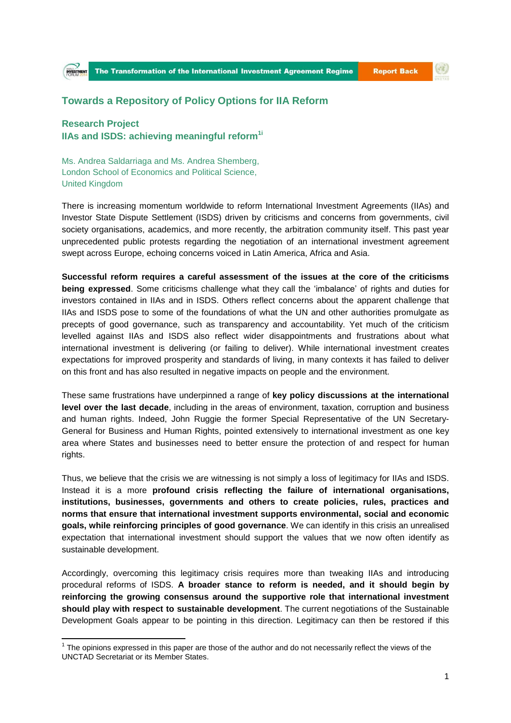**Report Back** 



## **Towards a Repository of Policy Options for IIA Reform**

## **Research Project IIAs and ISDS: achieving meaningful reform1i**

Ms. Andrea Saldarriaga and Ms. Andrea Shemberg, London School of Economics and Political Science, United Kingdom

There is increasing momentum worldwide to reform International Investment Agreements (IIAs) and Investor State Dispute Settlement (ISDS) driven by criticisms and concerns from governments, civil society organisations, academics, and more recently, the arbitration community itself. This past year unprecedented public protests regarding the negotiation of an international investment agreement swept across Europe, echoing concerns voiced in Latin America, Africa and Asia.

**Successful reform requires a careful assessment of the issues at the core of the criticisms being expressed**. Some criticisms challenge what they call the 'imbalance' of rights and duties for investors contained in IIAs and in ISDS. Others reflect concerns about the apparent challenge that IIAs and ISDS pose to some of the foundations of what the UN and other authorities promulgate as precepts of good governance, such as transparency and accountability. Yet much of the criticism levelled against IIAs and ISDS also reflect wider disappointments and frustrations about what international investment is delivering (or failing to deliver). While international investment creates expectations for improved prosperity and standards of living, in many contexts it has failed to deliver on this front and has also resulted in negative impacts on people and the environment.

These same frustrations have underpinned a range of **key policy discussions at the international level over the last decade**, including in the areas of environment, taxation, corruption and business and human rights. Indeed, John Ruggie the former Special Representative of the UN Secretary-General for Business and Human Rights, pointed extensively to international investment as one key area where States and businesses need to better ensure the protection of and respect for human rights.

Thus, we believe that the crisis we are witnessing is not simply a loss of legitimacy for IIAs and ISDS. Instead it is a more **profound crisis reflecting the failure of international organisations, institutions, businesses, governments and others to create policies, rules, practices and norms that ensure that international investment supports environmental, social and economic goals, while reinforcing principles of good governance**. We can identify in this crisis an unrealised expectation that international investment should support the values that we now often identify as sustainable development.

Accordingly, overcoming this legitimacy crisis requires more than tweaking IIAs and introducing procedural reforms of ISDS. **A broader stance to reform is needed, and it should begin by reinforcing the growing consensus around the supportive role that international investment should play with respect to sustainable development**. The current negotiations of the Sustainable Development Goals appear to be pointing in this direction. Legitimacy can then be restored if this

**.** 

 $1$  The opinions expressed in this paper are those of the author and do not necessarily reflect the views of the UNCTAD Secretariat or its Member States.